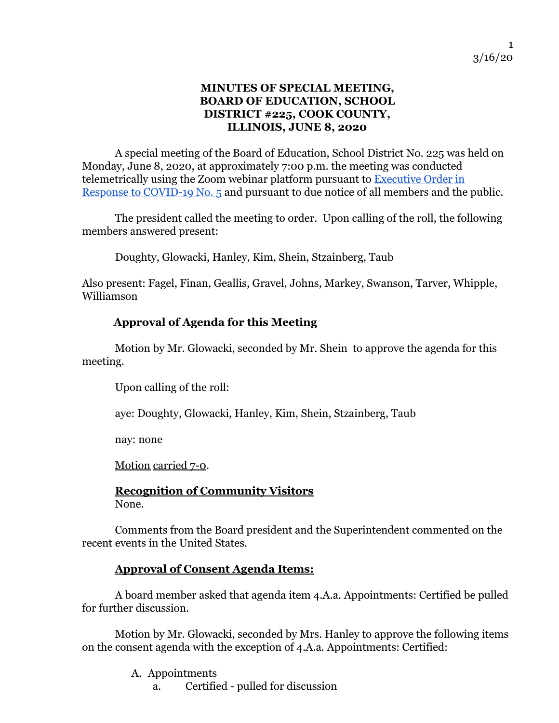#### **MINUTES OF SPECIAL MEETING, BOARD OF EDUCATION, SCHOOL DISTRICT #225, COOK COUNTY, ILLINOIS, JUNE 8, 2020**

A special meeting of the Board of Education, School District No. 225 was held on Monday, June 8, 2020, at approximately 7:00 p.m. the meeting was conducted telemetrically using the Zoom webinar platform pursuant to [Executive Order in](https://www2.illinois.gov/Documents/ExecOrders/2020/ExecutiveOrder-2020-07.pdf) [Response to COVID-19 No. 5](https://www2.illinois.gov/Documents/ExecOrders/2020/ExecutiveOrder-2020-07.pdf) and pursuant to due notice of all members and the public.

The president called the meeting to order. Upon calling of the roll, the following members answered present:

Doughty, Glowacki, Hanley, Kim, Shein, Stzainberg, Taub

Also present: Fagel, Finan, Geallis, Gravel, Johns, Markey, Swanson, Tarver, Whipple, Williamson

#### **Approval of Agenda for this Meeting**

Motion by Mr. Glowacki, seconded by Mr. Shein to approve the agenda for this meeting.

Upon calling of the roll:

aye: Doughty, Glowacki, Hanley, Kim, Shein, Stzainberg, Taub

nay: none

Motion carried 7-0.

#### **Recognition of Community Visitors** None.

Comments from the Board president and the Superintendent commented on the recent events in the United States.

#### **Approval of Consent Agenda Items:**

A board member asked that agenda item 4.A.a. Appointments: Certified be pulled for further discussion.

Motion by Mr. Glowacki, seconded by Mrs. Hanley to approve the following items on the consent agenda with the exception of 4.A.a. Appointments: Certified:

A. Appointments

a. Certified - pulled for discussion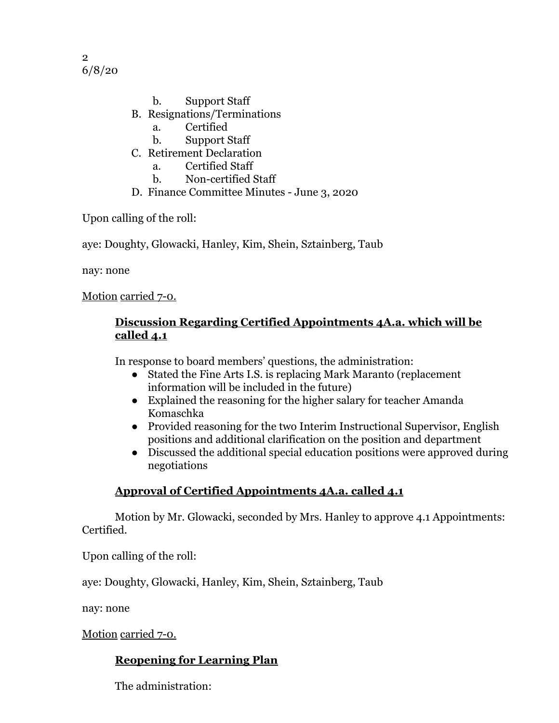2 6/8/20

- b. Support Staff
- B. Resignations/Terminations
	- a. Certified
	- b. Support Staff
- C. Retirement Declaration
	- a. Certified Staff
	- b. Non-certified Staff
- D. Finance Committee Minutes June 3, 2020

Upon calling of the roll:

aye: Doughty, Glowacki, Hanley, Kim, Shein, Sztainberg, Taub

nay: none

Motion carried 7-0.

#### **Discussion Regarding Certified Appointments 4A.a. which will be called 4.1**

In response to board members' questions, the administration:

- Stated the Fine Arts I.S. is replacing Mark Maranto (replacement information will be included in the future)
- Explained the reasoning for the higher salary for teacher Amanda Komaschka
- Provided reasoning for the two Interim Instructional Supervisor, English positions and additional clarification on the position and department
- Discussed the additional special education positions were approved during negotiations

## **Approval of Certified Appointments 4A.a. called 4.1**

Motion by Mr. Glowacki, seconded by Mrs. Hanley to approve 4.1 Appointments: Certified.

Upon calling of the roll:

aye: Doughty, Glowacki, Hanley, Kim, Shein, Sztainberg, Taub

nay: none

Motion carried 7-0.

## **Reopening for Learning Plan**

The administration: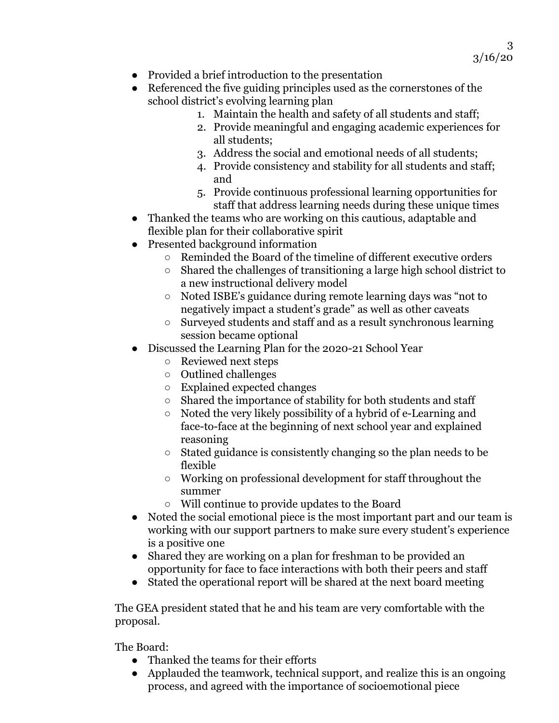- Provided a brief introduction to the presentation
- Referenced the five guiding principles used as the cornerstones of the school district's evolving learning plan
	- 1. Maintain the health and safety of all students and staff;
	- 2. Provide meaningful and engaging academic experiences for all students;
	- 3. Address the social and emotional needs of all students;
	- 4. Provide consistency and stability for all students and staff; and
	- 5. Provide continuous professional learning opportunities for staff that address learning needs during these unique times
- Thanked the teams who are working on this cautious, adaptable and flexible plan for their collaborative spirit
- Presented background information
	- Reminded the Board of the timeline of different executive orders
	- Shared the challenges of transitioning a large high school district to a new instructional delivery model
	- Noted ISBE's guidance during remote learning days was "not to negatively impact a student's grade" as well as other caveats
	- Surveyed students and staff and as a result synchronous learning session became optional
- Discussed the Learning Plan for the 2020-21 School Year
	- Reviewed next steps
	- Outlined challenges
	- Explained expected changes
	- Shared the importance of stability for both students and staff
	- Noted the very likely possibility of a hybrid of e-Learning and face-to-face at the beginning of next school year and explained reasoning
	- Stated guidance is consistently changing so the plan needs to be flexible
	- Working on professional development for staff throughout the summer
	- Will continue to provide updates to the Board
- Noted the social emotional piece is the most important part and our team is working with our support partners to make sure every student's experience is a positive one
- Shared they are working on a plan for freshman to be provided an opportunity for face to face interactions with both their peers and staff
- Stated the operational report will be shared at the next board meeting

The GEA president stated that he and his team are very comfortable with the proposal.

The Board:

- Thanked the teams for their efforts
- Applauded the teamwork, technical support, and realize this is an ongoing process, and agreed with the importance of socioemotional piece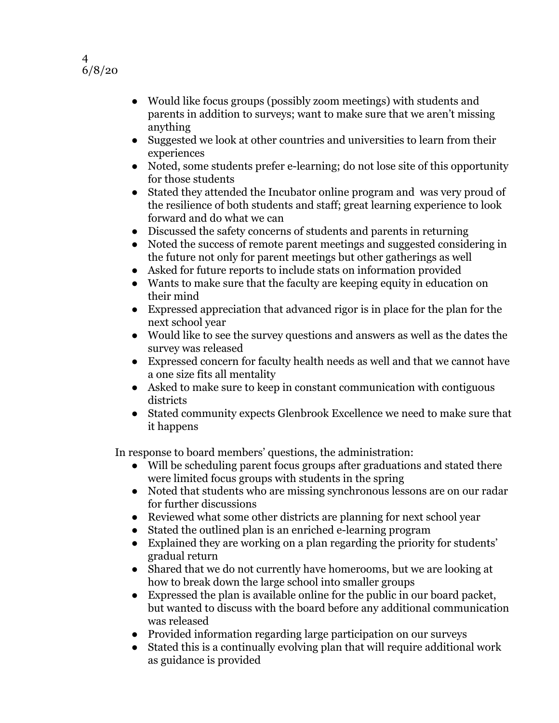

- Would like focus groups (possibly zoom meetings) with students and parents in addition to surveys; want to make sure that we aren't missing anything
- Suggested we look at other countries and universities to learn from their experiences
- Noted, some students prefer e-learning; do not lose site of this opportunity for those students
- Stated they attended the Incubator online program and was very proud of the resilience of both students and staff; great learning experience to look forward and do what we can
- Discussed the safety concerns of students and parents in returning
- Noted the success of remote parent meetings and suggested considering in the future not only for parent meetings but other gatherings as well
- Asked for future reports to include stats on information provided
- Wants to make sure that the faculty are keeping equity in education on their mind
- Expressed appreciation that advanced rigor is in place for the plan for the next school year
- Would like to see the survey questions and answers as well as the dates the survey was released
- Expressed concern for faculty health needs as well and that we cannot have a one size fits all mentality
- Asked to make sure to keep in constant communication with contiguous districts
- Stated community expects Glenbrook Excellence we need to make sure that it happens

In response to board members' questions, the administration:

- Will be scheduling parent focus groups after graduations and stated there were limited focus groups with students in the spring
- Noted that students who are missing synchronous lessons are on our radar for further discussions
- Reviewed what some other districts are planning for next school year
- Stated the outlined plan is an enriched e-learning program
- Explained they are working on a plan regarding the priority for students' gradual return
- Shared that we do not currently have homerooms, but we are looking at how to break down the large school into smaller groups
- Expressed the plan is available online for the public in our board packet, but wanted to discuss with the board before any additional communication was released
- Provided information regarding large participation on our surveys
- Stated this is a continually evolving plan that will require additional work as guidance is provided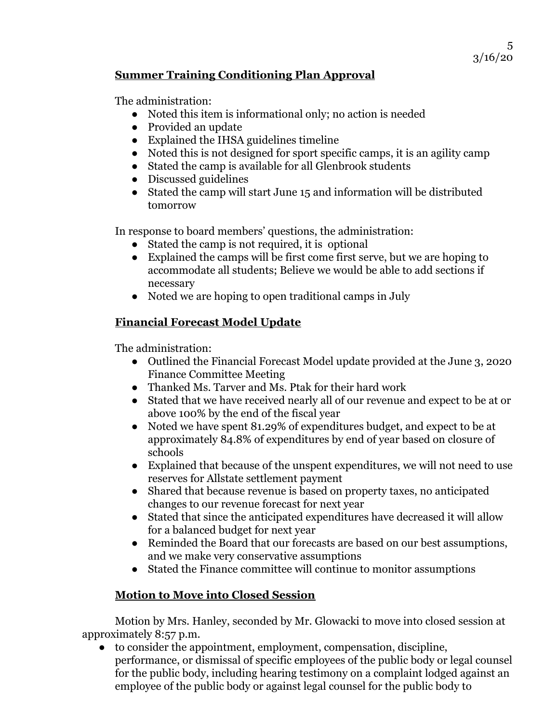#### **Summer Training Conditioning Plan Approval**

The administration:

- Noted this item is informational only; no action is needed
- Provided an update
- Explained the IHSA guidelines timeline
- Noted this is not designed for sport specific camps, it is an agility camp
- Stated the camp is available for all Glenbrook students
- Discussed guidelines
- Stated the camp will start June 15 and information will be distributed tomorrow

In response to board members' questions, the administration:

- Stated the camp is not required, it is optional
- Explained the camps will be first come first serve, but we are hoping to accommodate all students; Believe we would be able to add sections if necessary
- Noted we are hoping to open traditional camps in July

## **Financial Forecast Model Update**

The administration:

- Outlined the Financial Forecast Model update provided at the June 3, 2020 Finance Committee Meeting
- Thanked Ms. Tarver and Ms. Ptak for their hard work
- Stated that we have received nearly all of our revenue and expect to be at or above 100% by the end of the fiscal year
- Noted we have spent 81.29% of expenditures budget, and expect to be at approximately 84.8% of expenditures by end of year based on closure of schools
- Explained that because of the unspent expenditures, we will not need to use reserves for Allstate settlement payment
- Shared that because revenue is based on property taxes, no anticipated changes to our revenue forecast for next year
- Stated that since the anticipated expenditures have decreased it will allow for a balanced budget for next year
- Reminded the Board that our forecasts are based on our best assumptions, and we make very conservative assumptions
- Stated the Finance committee will continue to monitor assumptions

## **Motion to Move into Closed Session**

Motion by Mrs. Hanley, seconded by Mr. Glowacki to move into closed session at approximately 8:57 p.m.

● to consider the appointment, employment, compensation, discipline, performance, or dismissal of specific employees of the public body or legal counsel for the public body, including hearing testimony on a complaint lodged against an employee of the public body or against legal counsel for the public body to